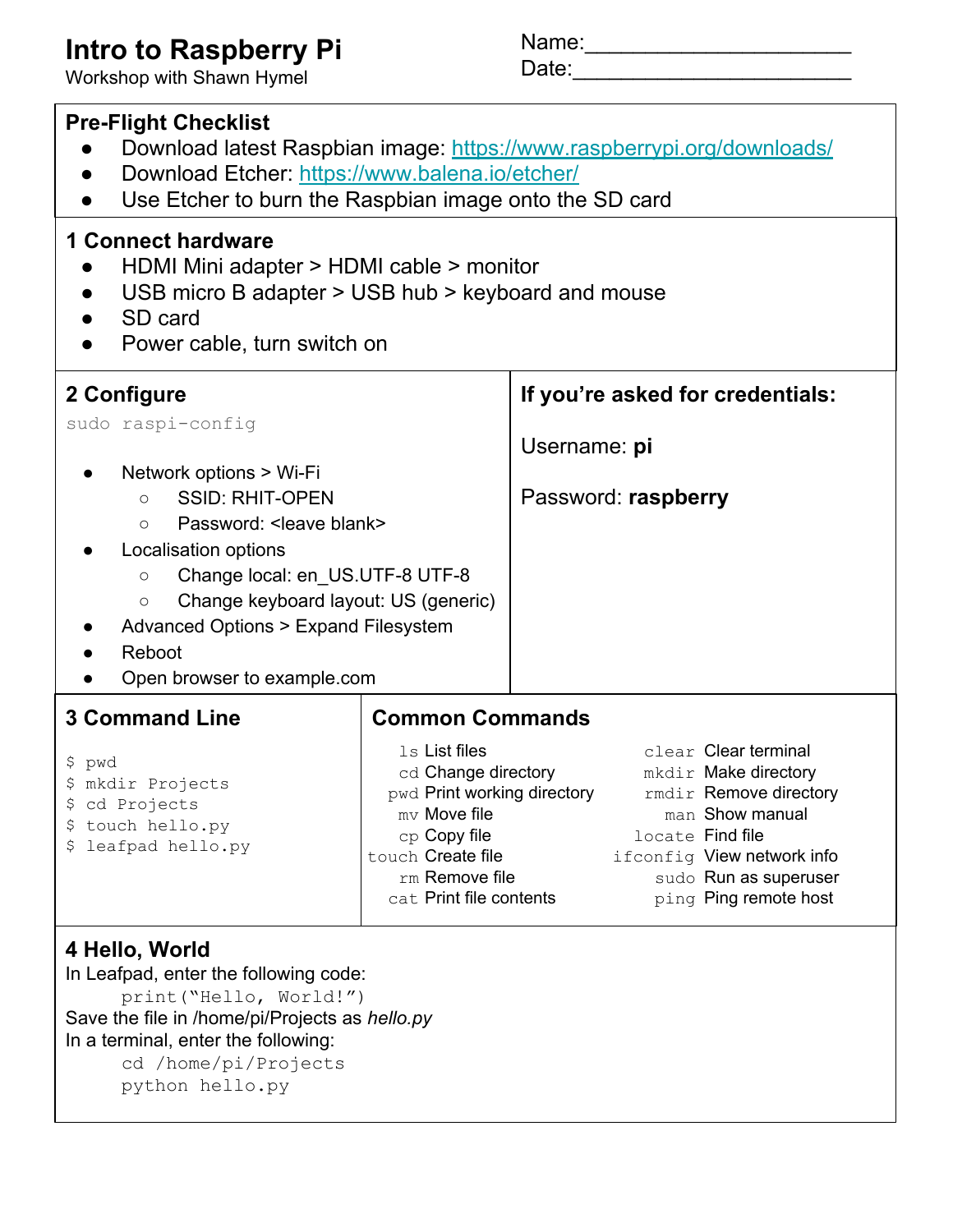## **Intro to Raspberry Pi**

Workshop with Shawn Hymel

Name:\_\_\_\_\_\_\_\_\_\_\_\_\_\_\_\_\_\_\_\_\_\_

Date:\_\_\_\_\_\_\_\_\_\_\_\_\_\_\_\_\_\_\_\_\_\_\_

| <b>Pre-Flight Checklist</b><br>Download latest Raspbian image: https://www.raspberrypi.org/downloads/<br>Download Etcher: https://www.balena.io/etcher/<br>Use Etcher to burn the Raspbian image onto the SD card                                                                                                                |                                                                                                                                                                                |                                                  |  |                                                                                                                                                                                               |  |  |  |  |
|----------------------------------------------------------------------------------------------------------------------------------------------------------------------------------------------------------------------------------------------------------------------------------------------------------------------------------|--------------------------------------------------------------------------------------------------------------------------------------------------------------------------------|--------------------------------------------------|--|-----------------------------------------------------------------------------------------------------------------------------------------------------------------------------------------------|--|--|--|--|
| <b>1 Connect hardware</b><br>HDMI Mini adapter > HDMI cable > monitor<br>USB micro B adapter > USB hub > keyboard and mouse<br>SD card<br>Power cable, turn switch on                                                                                                                                                            |                                                                                                                                                                                |                                                  |  |                                                                                                                                                                                               |  |  |  |  |
| 2 Configure<br>sudo raspi-config                                                                                                                                                                                                                                                                                                 |                                                                                                                                                                                | If you're asked for credentials:<br>Username: pi |  |                                                                                                                                                                                               |  |  |  |  |
| Network options > Wi-Fi<br><b>SSID: RHIT-OPEN</b><br>$\bigcirc$<br>Password: < leave blank><br>$\circ$<br>Localisation options<br>Change local: en US.UTF-8 UTF-8<br>$\bigcirc$<br>Change keyboard layout: US (generic)<br>$\bigcirc$<br><b>Advanced Options &gt; Expand Filesystem</b><br>Reboot<br>Open browser to example.com | Password: raspberry                                                                                                                                                            |                                                  |  |                                                                                                                                                                                               |  |  |  |  |
| <b>3 Command Line</b>                                                                                                                                                                                                                                                                                                            | <b>Common Commands</b>                                                                                                                                                         |                                                  |  |                                                                                                                                                                                               |  |  |  |  |
| \$ pwd<br>\$ mkdir Projects<br>cd Projects<br>\$<br>touch hello.py<br>Ş.<br>leafpad hello.py<br>S                                                                                                                                                                                                                                | 1s List files<br>cd Change directory<br>pwd <b>Print working directory</b><br>$mv$ Move file<br>cp Copy file<br>touch Create file<br>rm Remove file<br>cat Print file contents |                                                  |  | clear Clear terminal<br>mkdir Make directory<br>rmdir Remove directory<br>man Show manual<br>locate Find file<br>ifconfig View network info<br>sudo Run as superuser<br>ping Ping remote host |  |  |  |  |
| 4 Hello, World<br>In Leafpad, enter the following code:<br>print ("Hello, World!")<br>Save the file in /home/pi/Projects as hello.py<br>In a terminal, enter the following:                                                                                                                                                      |                                                                                                                                                                                |                                                  |  |                                                                                                                                                                                               |  |  |  |  |

cd /home/pi/Projects python hello.py